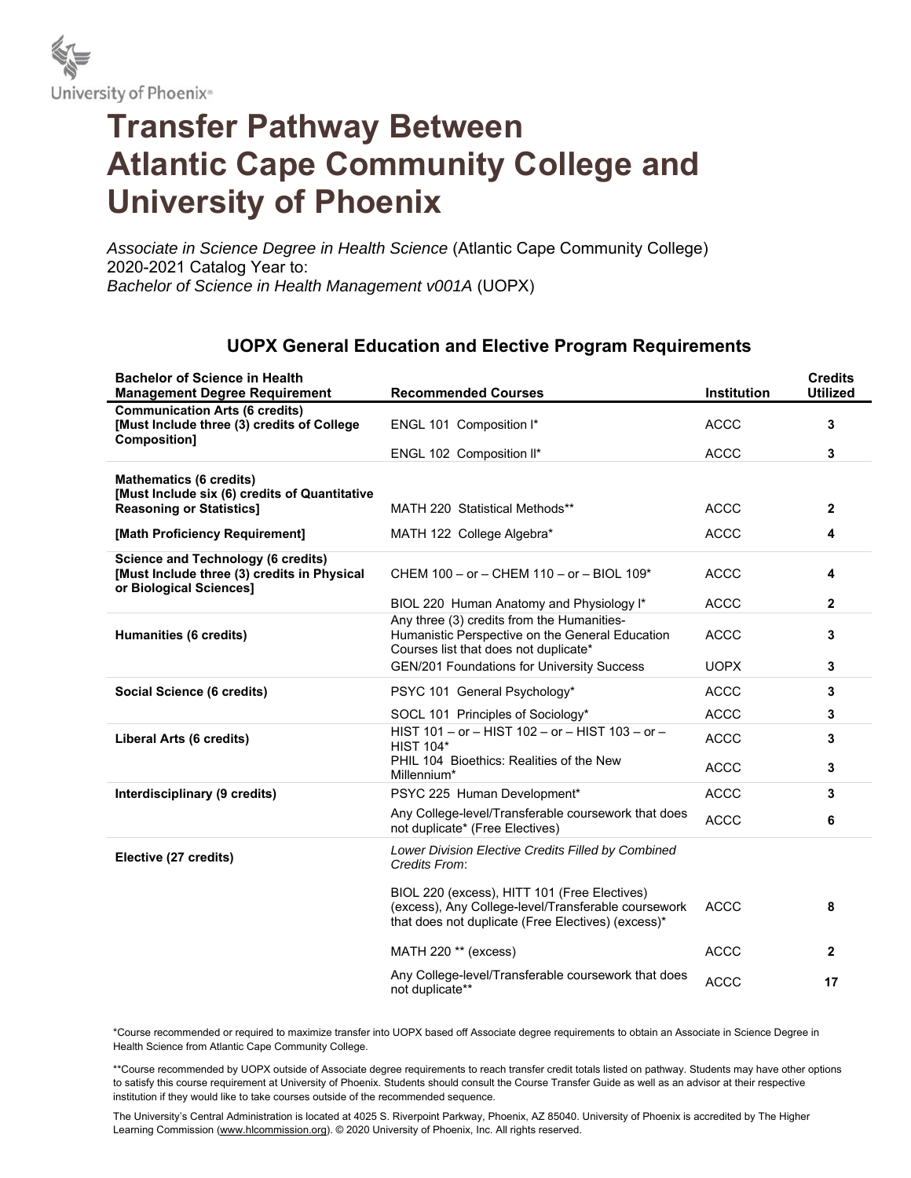

## **Transfer Pathway Between Atlantic Cape Community College and University of Phoenix**

*Associate in Science Degree in Health Science* (Atlantic Cape Community College) 2020-2021 Catalog Year to: *Bachelor of Science in Health Management v001A* (UOPX)

## **UOPX General Education and Elective Program Requirements**

| <b>Bachelor of Science in Health</b><br><b>Management Degree Requirement</b>                                        | <b>Recommended Courses</b>                                                                                                                                | <b>Institution</b> | <b>Credits</b><br><b>Utilized</b> |
|---------------------------------------------------------------------------------------------------------------------|-----------------------------------------------------------------------------------------------------------------------------------------------------------|--------------------|-----------------------------------|
| <b>Communication Arts (6 credits)</b><br>[Must Include three (3) credits of College<br>Composition]                 | ENGL 101 Composition I*                                                                                                                                   | <b>ACCC</b>        | 3                                 |
|                                                                                                                     | ENGL 102 Composition II*                                                                                                                                  | <b>ACCC</b>        | 3                                 |
| <b>Mathematics (6 credits)</b><br>[Must Include six (6) credits of Quantitative                                     |                                                                                                                                                           |                    |                                   |
| <b>Reasoning or Statistics]</b>                                                                                     | MATH 220 Statistical Methods**                                                                                                                            | <b>ACCC</b>        | $\mathbf{2}$                      |
| [Math Proficiency Requirement]                                                                                      | MATH 122 College Algebra*                                                                                                                                 | <b>ACCC</b>        | 4                                 |
| <b>Science and Technology (6 credits)</b><br>[Must Include three (3) credits in Physical<br>or Biological Sciences] | CHEM 100 - or - CHEM 110 - or - BIOL 109*                                                                                                                 | <b>ACCC</b>        | 4                                 |
|                                                                                                                     | BIOL 220 Human Anatomy and Physiology I*                                                                                                                  | <b>ACCC</b>        | $\mathbf{2}$                      |
| <b>Humanities (6 credits)</b>                                                                                       | Any three (3) credits from the Humanities-<br>Humanistic Perspective on the General Education<br>Courses list that does not duplicate*                    | <b>ACCC</b>        | 3                                 |
|                                                                                                                     | <b>GEN/201 Foundations for University Success</b>                                                                                                         | <b>UOPX</b>        | 3                                 |
| Social Science (6 credits)                                                                                          | PSYC 101 General Psychology*                                                                                                                              | <b>ACCC</b>        | 3                                 |
|                                                                                                                     | SOCL 101 Principles of Sociology*                                                                                                                         | <b>ACCC</b>        | 3                                 |
| Liberal Arts (6 credits)                                                                                            | HIST 101 - or - HIST 102 - or - HIST 103 - or -<br><b>HIST 104*</b>                                                                                       | <b>ACCC</b>        | 3                                 |
|                                                                                                                     | PHIL 104 Bioethics: Realities of the New<br>Millennium*                                                                                                   | <b>ACCC</b>        | 3                                 |
| Interdisciplinary (9 credits)                                                                                       | PSYC 225 Human Development*                                                                                                                               | <b>ACCC</b>        | 3                                 |
|                                                                                                                     | Any College-level/Transferable coursework that does<br>not duplicate* (Free Electives)                                                                    | <b>ACCC</b>        | 6                                 |
| Elective (27 credits)                                                                                               | Lower Division Elective Credits Filled by Combined<br>Credits From:                                                                                       |                    |                                   |
|                                                                                                                     | BIOL 220 (excess), HITT 101 (Free Electives)<br>(excess), Any College-level/Transferable coursework<br>that does not duplicate (Free Electives) (excess)* | <b>ACCC</b>        | 8                                 |
|                                                                                                                     | MATH 220 ** (excess)                                                                                                                                      | <b>ACCC</b>        | $\overline{2}$                    |
|                                                                                                                     | Any College-level/Transferable coursework that does<br>not duplicate**                                                                                    | <b>ACCC</b>        | 17                                |

\*Course recommended or required to maximize transfer into UOPX based off Associate degree requirements to obtain an Associate in Science Degree in Health Science from Atlantic Cape Community College.

\*\*Course recommended by UOPX outside of Associate degree requirements to reach transfer credit totals listed on pathway. Students may have other options to satisfy this course requirement at University of Phoenix. Students should consult the Course Transfer Guide as well as an advisor at their respective institution if they would like to take courses outside of the recommended sequence.

The University's Central Administration is located at 4025 S. Riverpoint Parkway, Phoenix, AZ 85040. University of Phoenix is accredited by The Higher Learning Commission (www.hlcommission.org). @ 2020 University of Phoenix, Inc. All rights reserved.